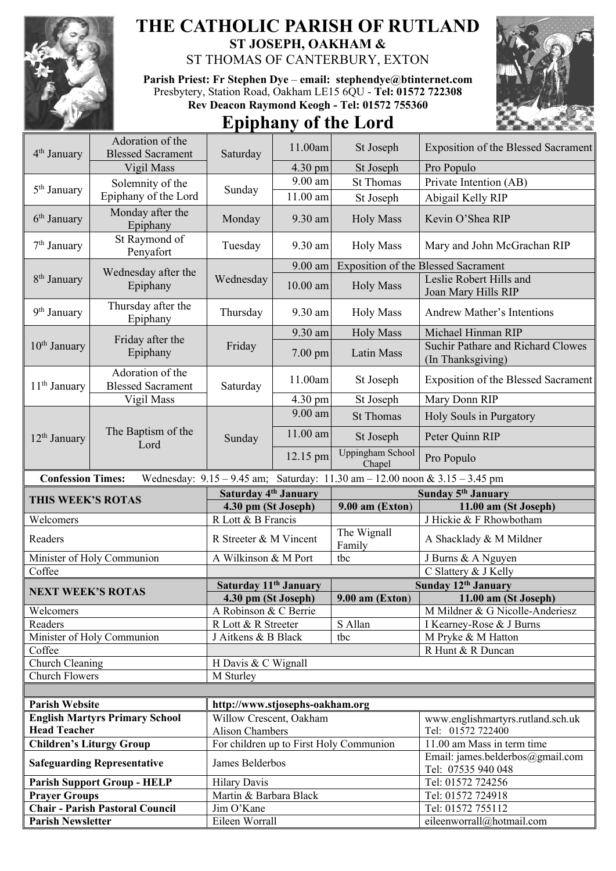

## **THE CATHOLIC PARISH OF RUTLAND ST JOSEPH, OAKHAM &**

ST THOMAS OF CANTERBURY, EXTON

**Parish Priest: Fr Stephen Dye** – **[email: stephendye@btinternet.com](mailto:email:%20%20stephendye@btinternet.com)** Presbytery, Station Road, Oakham LE15 6QU - **Tel: 01572 722308 Rev Deacon Raymond Keogh - Tel: 01572 755360**

## **Epiphany of the Lord**



|                                 | Adoration of the                             |                                   |            |                                                                             |                                                        |
|---------------------------------|----------------------------------------------|-----------------------------------|------------|-----------------------------------------------------------------------------|--------------------------------------------------------|
| 4 <sup>th</sup> January         | <b>Blessed Sacrament</b>                     | Saturday                          | 11.00am    | St Joseph                                                                   | Exposition of the Blessed Sacrament                    |
|                                 | Vigil Mass                                   |                                   | 4.30 pm    | St Joseph                                                                   | Pro Populo                                             |
|                                 |                                              |                                   | 9.00 am    | <b>St Thomas</b>                                                            | Private Intention (AB)                                 |
| 5 <sup>th</sup> January         | Solemnity of the                             | Sunday                            |            |                                                                             |                                                        |
|                                 | Epiphany of the Lord                         |                                   | 11.00 am   | St Joseph                                                                   | Abigail Kelly RIP                                      |
| 6 <sup>th</sup> January         | Monday after the<br>Epiphany                 | Monday                            | 9.30 am    | <b>Holy Mass</b>                                                            | Kevin O'Shea RIP                                       |
| 7 <sup>th</sup> January         | St Raymond of<br>Penyafort                   | Tuesday                           | 9.30 am    | <b>Holy Mass</b>                                                            | Mary and John McGrachan RIP                            |
| 8 <sup>th</sup> January         | Wednesday after the<br>Epiphany              | Wednesday                         | 9.00 am    |                                                                             | <b>Exposition of the Blessed Sacrament</b>             |
|                                 |                                              |                                   | $10.00$ am | <b>Holy Mass</b>                                                            | Leslie Robert Hills and<br>Joan Mary Hills RIP         |
| 9 <sup>th</sup> January         | Thursday after the<br>Epiphany               | Thursday                          | 9.30 am    | <b>Holy Mass</b>                                                            | <b>Andrew Mather's Intentions</b>                      |
|                                 |                                              |                                   | 9.30 am    | <b>Holy Mass</b>                                                            | Michael Hinman RIP                                     |
| $10th$ January                  | Friday after the<br>Epiphany                 | Friday                            | $7.00$ pm  | Latin Mass                                                                  | Suchir Pathare and Richard Clowes<br>(In Thanksgiving) |
| $11th$ January                  | Adoration of the<br><b>Blessed Sacrament</b> | Saturday                          | 11.00am    | St Joseph                                                                   | Exposition of the Blessed Sacrament                    |
|                                 | Vigil Mass                                   |                                   | 4.30 pm    | St Joseph                                                                   | Mary Donn RIP                                          |
| $12th$ January                  | The Baptism of the<br>Lord                   | Sunday                            | 9.00 am    | <b>St Thomas</b>                                                            | Holy Souls in Purgatory                                |
|                                 |                                              |                                   | $11.00$ am | St Joseph                                                                   | Peter Quinn RIP                                        |
|                                 |                                              |                                   | 12.15 pm   | Uppingham School<br>Chapel                                                  | Pro Populo                                             |
|                                 |                                              |                                   |            |                                                                             |                                                        |
| <b>Confession Times:</b>        |                                              |                                   |            | Wednesday: 9.15 - 9.45 am; Saturday: 11.30 am - 12.00 noon & 3.15 - 3.45 pm |                                                        |
|                                 |                                              | Saturday 4 <sup>th</sup> January  |            |                                                                             | Sunday 5 <sup>th</sup> January                         |
| THIS WEEK'S ROTAS               |                                              | 4.30 pm (St Joseph)               |            | $9.00$ am (Exton)                                                           | 11.00 am (St Joseph)                                   |
| Welcomers                       |                                              | R Lott & B Francis                |            |                                                                             | J Hickie & F Rhowbotham                                |
| Readers                         |                                              | R Streeter & M Vincent            |            | The Wignall<br>Family                                                       | A Shacklady & M Mildner                                |
|                                 | Minister of Holy Communion                   | A Wilkinson & M Port              |            | tbc                                                                         | J Burns & A Nguyen                                     |
| Coffee                          |                                              |                                   |            |                                                                             | C Slattery & J Kelly                                   |
|                                 |                                              | Saturday 11 <sup>th</sup> January |            |                                                                             | Sunday 12 <sup>th</sup> January                        |
| <b>NEXT WEEK'S ROTAS</b>        |                                              | 4.30 pm (St Joseph)               |            | $9.00$ am (Exton)                                                           | 11.00 am (St Joseph)                                   |
| Welcomers                       |                                              | A Robinson & C Berrie             |            |                                                                             | M Mildner & G Nicolle-Anderiesz                        |
| Readers                         |                                              | R Lott & R Streeter               |            | S Allan                                                                     | I Kearney-Rose & J Burns                               |
|                                 | Minister of Holy Communion                   | J Aitkens & B Black               |            | tbc                                                                         | M Pryke & M Hatton                                     |
| Coffee                          |                                              |                                   |            |                                                                             | R Hunt & R Duncan                                      |
| Church Cleaning                 |                                              | H Davis & C Wignall               |            |                                                                             |                                                        |
| <b>Church Flowers</b>           |                                              | M Sturley                         |            |                                                                             |                                                        |
|                                 |                                              |                                   |            |                                                                             |                                                        |
| <b>Parish Website</b>           |                                              | http://www.stjosephs-oakham.org   |            |                                                                             |                                                        |
|                                 | <b>English Martyrs Primary School</b>        | Willow Crescent, Oakham           |            |                                                                             | www.englishmartyrs.rutland.sch.uk                      |
| <b>Head Teacher</b>             |                                              | <b>Alison Chambers</b>            |            |                                                                             | Tel: 01572 722400                                      |
| <b>Children's Liturgy Group</b> |                                              |                                   |            | For children up to First Holy Communion                                     | 11.00 am Mass in term time                             |
|                                 | <b>Safeguarding Representative</b>           | James Belderbos                   |            |                                                                             | Email: james.belderbos@gmail.com<br>Tel: 07535 940 048 |
|                                 | <b>Parish Support Group - HELP</b>           | <b>Hilary Davis</b>               |            |                                                                             | Tel: 01572 724256                                      |
| <b>Prayer Groups</b>            |                                              | Martin & Barbara Black            |            |                                                                             | Tel: 01572 724918                                      |
| <b>Parish Newsletter</b>        | <b>Chair - Parish Pastoral Council</b>       | Jim O'Kane<br>Eileen Worrall      |            |                                                                             | Tel: 01572 755112<br>eileenworrall@hotmail.com         |